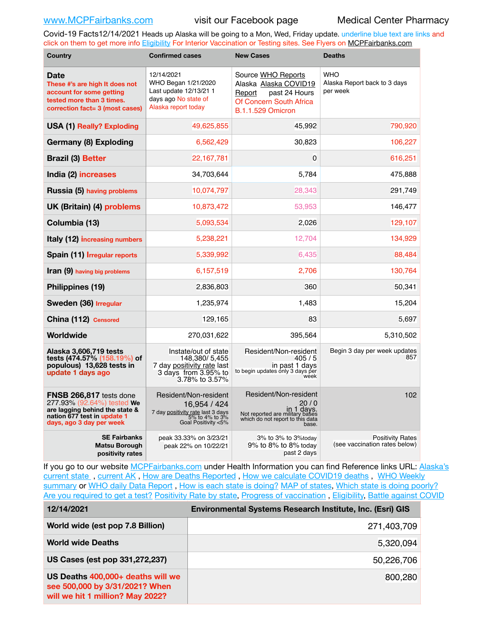Covid-19 Facts12/14/2021 Heads up Alaska will be going to a Mon, Wed, Friday update. underline blue text are links and click on them to get more info [Eligibility](http://dhss.alaska.gov/dph/Epi/id/Pages/COVID-19/VaccineAvailability.aspx) For Interior Vaccination or Testing sites. See Flyers on [MCPFairbanks.com](http://www.MCPFairbanks.com)

| <b>Country</b>                                                                                                                                     | <b>Confirmed cases</b>                                                                                              | <b>New Cases</b>                                                                                                              | <b>Deaths</b>                                            |  |
|----------------------------------------------------------------------------------------------------------------------------------------------------|---------------------------------------------------------------------------------------------------------------------|-------------------------------------------------------------------------------------------------------------------------------|----------------------------------------------------------|--|
| Date<br>These #'s are high It does not<br>account for some getting<br>tested more than 3 times.<br>correction fact= 3 (most cases)                 | 12/14/2021<br>WHO Began 1/21/2020<br>Last update 12/13/21 1<br>days ago No state of<br>Alaska report today          | Source WHO Reports<br>Alaska Alaska COVID19<br>past 24 Hours<br>Report<br>Of Concern South Africa<br><b>B.1.1.529 Omicron</b> | <b>WHO</b><br>Alaska Report back to 3 days<br>per week   |  |
| <b>USA (1) Really? Exploding</b>                                                                                                                   | 49,625,855                                                                                                          | 45,992                                                                                                                        | 790,920                                                  |  |
| Germany (8) Exploding                                                                                                                              | 6,562,429                                                                                                           | 30,823                                                                                                                        | 106,227                                                  |  |
| <b>Brazil (3) Better</b>                                                                                                                           | 22,167,781                                                                                                          | $\mathbf{0}$                                                                                                                  | 616,251                                                  |  |
| India (2) increases                                                                                                                                | 34,703,644                                                                                                          | 5.784                                                                                                                         | 475,888                                                  |  |
| Russia (5) having problems                                                                                                                         | 10,074,797                                                                                                          | 28,343                                                                                                                        | 291,749                                                  |  |
| UK (Britain) (4) problems                                                                                                                          | 10,873,472                                                                                                          | 53,953                                                                                                                        | 146,477                                                  |  |
| Columbia (13)                                                                                                                                      | 5,093,534                                                                                                           | 2,026                                                                                                                         | 129,107                                                  |  |
| Italy (12) increasing numbers                                                                                                                      | 5,238,221                                                                                                           | 12,704                                                                                                                        | 134,929                                                  |  |
| Spain (11) Irregular reports                                                                                                                       | 5,339,992                                                                                                           | 6,435                                                                                                                         | 88,484                                                   |  |
| <b>Iran (9)</b> having big problems                                                                                                                | 6,157,519                                                                                                           | 2,706                                                                                                                         | 130,764                                                  |  |
| Philippines (19)                                                                                                                                   | 2,836,803                                                                                                           | 360                                                                                                                           | 50,341                                                   |  |
| Sweden (36) Irregular                                                                                                                              | 1,235,974                                                                                                           | 1,483                                                                                                                         | 15,204                                                   |  |
| China (112) Censored                                                                                                                               | 129,165                                                                                                             | 83                                                                                                                            | 5,697                                                    |  |
| Worldwide                                                                                                                                          | 270,031,622                                                                                                         | 395,564                                                                                                                       | 5,310,502                                                |  |
| Alaska 3,606,719 tests<br>tests (474.57% (158.19%) of<br>populous) 13,628 tests in<br>update 1 days ago                                            | Instate/out of state<br>148.380/5.455<br>7 day positivity rate last<br>3 days from 3.95% to<br>3.78% to 3.57%       | Resident/Non-resident<br>405/5<br>in past 1 days<br>to begin updates only 3 days per<br>week                                  | Begin 3 day per week updates<br>857                      |  |
| FNSB 266,817 tests done<br>277.93% (92.64%) tested We<br>are lagging behind the state &<br>nation 677 test in update 1<br>days, ago 3 day per week | Resident/Non-resident<br>16,954 / 424<br>7 day positivity rate last 3 days<br>5% to 4% to 3%<br>6oal Positivity <5% | Resident/Non-resident<br>20/0<br>in 1 days.<br>Not reported are military bases<br>which do not report to this data<br>base.   | 102                                                      |  |
| <b>SE Fairbanks</b><br>Matsu Borough<br>positivity rates                                                                                           | peak 33.33% on 3/23/21<br>peak 22% on 10/22/21                                                                      | 3% to 3% to 3%today<br>9% to 8% to 8% today<br>past 2 days                                                                    | <b>Positivity Rates</b><br>(see vaccination rates below) |  |

If you go to our website [MCPFairbanks.com](http://www.MCPFairbanks.com) under Health Information you can find Reference links URL: Alaska's [current state](https://coronavirus-response-alaska-dhss.hub.arcgis.com) , [current AK](http://dhss.alaska.gov/dph/Epi/id/Pages/COVID-19/communications.aspx#cases) , [How are Deaths Reported](http://dhss.alaska.gov/dph/Epi/id/Pages/COVID-19/deathcounts.aspx) , [How we calculate COVID19 deaths](https://coronavirus-response-alaska-dhss.hub.arcgis.com/search?collection=Document&groupIds=41ccb3344ebc4bd682c74073eba21f42) , [WHO Weekly](http://www.who.int)  [summary](http://www.who.int) or [WHO daily Data Report](https://covid19.who.int/table), [How is each state is doing?](https://www.msn.com/en-us/news/us/state-by-state-coronavirus-news/ar-BB13E1PX?fbclid=IwAR0_OBJH7lSyTN3ug_MsOeFnNgB1orTa9OBgilKJ7dhnwlVvHEsptuKkj1c) [MAP of states,](https://www.nationalgeographic.com/science/graphics/graphic-tracking-coronavirus-infections-us?cmpid=org=ngp::mc=crm-email::src=ngp::cmp=editorial::add=SpecialEdition_20210305&rid=B9A6DF5992658E8E35CE023113CFEA4C) [Which state is doing poorly?](https://bestlifeonline.com/covid-outbreak-your-state/?utm_source=nsltr&utm_medium=email&utm_content=covid-outbreak-your-state&utm_campaign=launch) [Are you required to get a test?](http://dhss.alaska.gov/dph/Epi/id/SiteAssets/Pages/HumanCoV/Whattodoafteryourtest.pdf) [Positivity Rate by state](https://coronavirus.jhu.edu/testing/individual-states/alaska), Progress of vaccination, [Eligibility,](http://dhss.alaska.gov/dph/Epi/id/Pages/COVID-19/VaccineAvailability.aspx) [Battle against COVID](https://www.nationalgeographic.com/science/graphics/graphic-tracking-coronavirus-infections-us?cmpid=org=ngp::mc=crm-email::src=ngp::cmp=editorial::add=SpecialEdition_20210219&rid=B9A6DF5992658E8E35CE023113CFEA4C)

| 12/14/2021                                                                                              | <b>Environmental Systems Research Institute, Inc. (Esri) GIS</b> |
|---------------------------------------------------------------------------------------------------------|------------------------------------------------------------------|
| World wide (est pop 7.8 Billion)                                                                        | 271,403,709                                                      |
| <b>World wide Deaths</b>                                                                                | 5,320,094                                                        |
| US Cases (est pop 331,272,237)                                                                          | 50,226,706                                                       |
| US Deaths 400,000+ deaths will we<br>see 500,000 by 3/31/2021? When<br>will we hit 1 million? May 2022? | 800,280                                                          |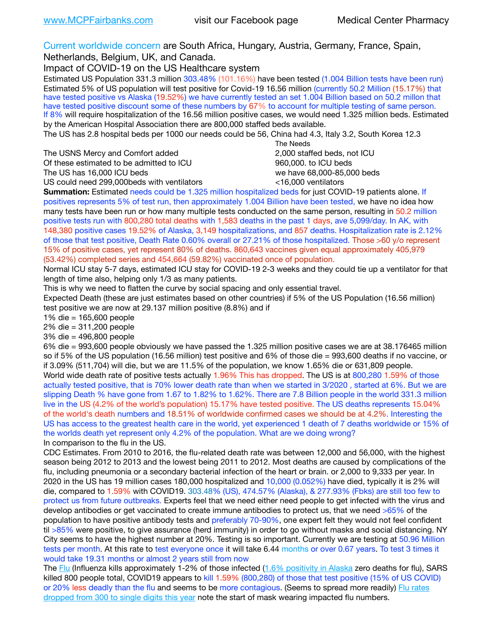Current worldwide concern are South Africa, Hungary, Austria, Germany, France, Spain,

Netherlands, Belgium, UK, and Canada.

Impact of COVID-19 on the US Healthcare system

Estimated US Population 331.3 million 303.48% (101.16%) have been tested (1.004 Billion tests have been run) Estimated 5% of US population will test positive for Covid-19 16.56 million (currently 50.2 Million (15.17%) that have tested positive vs Alaska (19.52%) we have currently tested an set 1.004 Billion based on 50.2 millon that have tested positive discount some of these numbers by 67% to account for multiple testing of same person. If 8% will require hospitalization of the 16.56 million positive cases, we would need 1.325 million beds. Estimated by the American Hospital Association there are 800,000 staffed beds available.

The US has 2.8 hospital beds per 1000 our needs could be 56, China had 4.3, Italy 3.2, South Korea 12.3

The USNS Mercy and Comfort added 2,000 staffed beds, not ICU Of these estimated to be admitted to ICU 860,000. to ICU beds The US has 16,000 ICU beds we have 68,000-85,000 beds ve have 68,000-85,000 beds

 The Needs US could need 299,000 beds with ventilators  $\leq 16,000$  ventilators

**Summation:** Estimated needs could be 1.325 million hospitalized beds for just COVID-19 patients alone. If positives represents 5% of test run, then approximately 1.004 Billion have been tested, we have no idea how many tests have been run or how many multiple tests conducted on the same person, resulting in 50.2 million positive tests run with 800,280 total deaths with 1,583 deaths in the past 1 days, ave 5,099/day. In AK, with 148,380 positive cases 19.52% of Alaska, 3,149 hospitalizations, and 857 deaths. Hospitalization rate is 2.12% of those that test positive, Death Rate 0.60% overall or 27.21% of those hospitalized. Those >60 y/o represent 15% of positive cases, yet represent 80% of deaths. 860,643 vaccines given equal approximately 405,979 (53.42%) completed series and 454,664 (59.82%) vaccinated once of population.

Normal ICU stay 5-7 days, estimated ICU stay for COVID-19 2-3 weeks and they could tie up a ventilator for that length of time also, helping only 1/3 as many patients.

This is why we need to flatten the curve by social spacing and only essential travel.

Expected Death (these are just estimates based on other countries) if 5% of the US Population (16.56 million) test positive we are now at 29.137 million positive (8.8%) and if

1% die = 165,600 people

2% die = 311,200 people

3% die = 496,800 people

6% die = 993,600 people obviously we have passed the 1.325 million positive cases we are at 38.176465 million so if 5% of the US population (16.56 million) test positive and 6% of those die = 993,600 deaths if no vaccine, or if 3.09% (511,704) will die, but we are 11.5% of the population, we know 1.65% die or 631,809 people. World wide death rate of positive tests actually 1.96% This has dropped. The US is at 800,280 1.59% of those actually tested positive, that is 70% lower death rate than when we started in 3/2020 , started at 6%. But we are slipping Death % have gone from 1.67 to 1.82% to 1.62%. There are 7.8 Billion people in the world 331.3 million live in the US (4.2% of the world's population) 15.17% have tested positive. The US deaths represents 15.04% of the world's death numbers and 18.51% of worldwide confirmed cases we should be at 4.2%. Interesting the US has access to the greatest health care in the world, yet experienced 1 death of 7 deaths worldwide or 15% of the worlds death yet represent only 4.2% of the population. What are we doing wrong? In comparison to the flu in the US.

CDC Estimates. From 2010 to 2016, the flu-related death rate was between 12,000 and 56,000, with the highest season being 2012 to 2013 and the lowest being 2011 to 2012. Most deaths are caused by complications of the flu, including pneumonia or a secondary bacterial infection of the heart or brain. or 2,000 to 9,333 per year. In 2020 in the US has 19 million cases 180,000 hospitalized and 10,000 (0.052%) have died, typically it is 2% will die, compared to 1.59% with COVID19. 303.48% (US), 474.57% (Alaska), & 277.93% (Fbks) are still too few to protect us from future outbreaks. Experts feel that we need either need people to get infected with the virus and develop antibodies or get vaccinated to create immune antibodies to protect us, that we need >65% of the population to have positive antibody tests and preferably 70-90%, one expert felt they would not feel confident til >85% were positive, to give assurance (herd immunity) in order to go without masks and social distancing. NY City seems to have the highest number at 20%. Testing is so important. Currently we are testing at 50.96 Million tests per month. At this rate to test everyone once it will take 6.44 months or over 0.67 years. To test 3 times it would take 19.31 months or almost 2 years still from now

The [Flu](https://lnks.gd/l/eyJhbGciOiJIUzI1NiJ9.eyJidWxsZXRpbl9saW5rX2lkIjoxMDMsInVyaSI6ImJwMjpjbGljayIsImJ1bGxldGluX2lkIjoiMjAyMTAyMjYuMzYwNDA3NTEiLCJ1cmwiOiJodHRwczovL3d3dy5jZGMuZ292L2ZsdS93ZWVrbHkvb3ZlcnZpZXcuaHRtIn0.ePMA_hsZ-pTnhWSyg1gHvHWYTu2XceVOt0JejxvP1WE/s/500544915/br/98428119752-l) (Influenza kills approximately 1-2% of those infected ([1.6% positivity in Alaska](http://dhss.alaska.gov/dph/Epi/id/SiteAssets/Pages/influenza/trends/Snapshot.pdf) zero deaths for flu), SARS killed 800 people total, COVID19 appears to kill 1.59% (800,280) of those that test positive (15% of US COVID) or 20% less deadly than the flu and seems to be more contagious. (Seems to spread more readily) [Flu rates](https://lnks.gd/l/eyJhbGciOiJIUzI1NiJ9.eyJidWxsZXRpbl9saW5rX2lkIjoxMDEsInVyaSI6ImJwMjpjbGljayIsImJ1bGxldGluX2lkIjoiMjAyMTAyMjYuMzYwNDA3NTEiLCJ1cmwiOiJodHRwOi8vZGhzcy5hbGFza2EuZ292L2RwaC9FcGkvaWQvUGFnZXMvaW5mbHVlbnphL2ZsdWluZm8uYXNweCJ9.oOe3nt2fww6XpsNhb4FZfmtPfPa-irGaldpkURBJhSo/s/500544915/br/98428119752-l)  [dropped from 300 to single digits this year](https://lnks.gd/l/eyJhbGciOiJIUzI1NiJ9.eyJidWxsZXRpbl9saW5rX2lkIjoxMDEsInVyaSI6ImJwMjpjbGljayIsImJ1bGxldGluX2lkIjoiMjAyMTAyMjYuMzYwNDA3NTEiLCJ1cmwiOiJodHRwOi8vZGhzcy5hbGFza2EuZ292L2RwaC9FcGkvaWQvUGFnZXMvaW5mbHVlbnphL2ZsdWluZm8uYXNweCJ9.oOe3nt2fww6XpsNhb4FZfmtPfPa-irGaldpkURBJhSo/s/500544915/br/98428119752-l) note the start of mask wearing impacted flu numbers.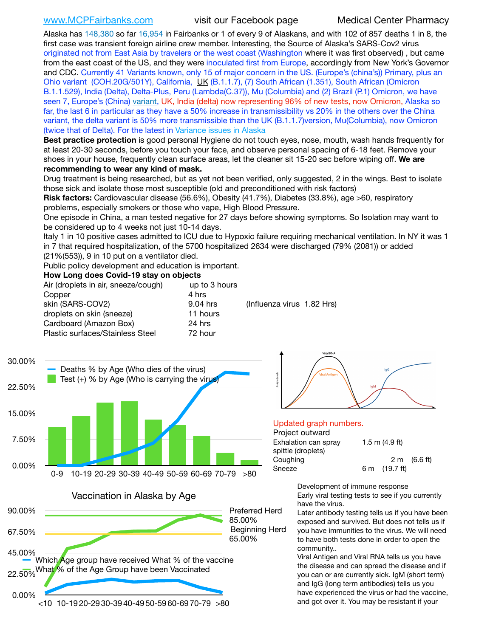Alaska has 148,380 so far 16,954 in Fairbanks or 1 of every 9 of Alaskans, and with 102 of 857 deaths 1 in 8, the first case was transient foreign airline crew member. Interesting, the Source of Alaska's SARS-Cov2 virus originated not from East Asia by travelers or the west coast (Washington where it was first observed) , but came from the east coast of the US, and they were inoculated first from Europe, accordingly from New York's Governor and CDC. Currently 41 Variants known, only 15 of major concern in the US. (Europe's (china's)) Primary, plus an Ohio variant (COH.20G/501Y), California, [UK](https://www.cdc.gov/coronavirus/2019-ncov/transmission/variant-cases.html) (B.1.1.7), (7) South African (1.351), South African (Omicron B.1.1.529), India (Delta), Delta-Plus, Peru (Lambda(C.37)), Mu (Columbia) and (2) Brazil (P.1) Omicron, we have seen 7, Europe's (China) [variant,](https://www.webmd.com/lung/news/20210318/cdc-who-create-threat-levels-for-covid-variants?ecd=wnl_cvd_031921&ctr=wnl-cvd-031921&mb=kYbf7DsHb7YGjh/1RUkcAW0T6iorImAU1TDZh18RYs0=_Support_titleLink_2) UK, India (delta) now representing 96% of new tests, now Omicron, Alaska so far, the last 6 in particular as they have a 50% increase in transmissibility vs 20% in the others over the China variant, the delta variant is 50% more transmissible than the UK (B.1.1.7)version, Mu(Columbia), now Omicron (twice that of Delta). For the latest in [Variance issues in Alaska](https://akvariants.github.io)

**Best practice protection** is good personal Hygiene do not touch eyes, nose, mouth, wash hands frequently for at least 20-30 seconds, before you touch your face, and observe personal spacing of 6-18 feet. Remove your shoes in your house, frequently clean surface areas, let the cleaner sit 15-20 sec before wiping off. **We are recommending to wear any kind of mask.**

Drug treatment is being researched, but as yet not been verified, only suggested, 2 in the wings. Best to isolate those sick and isolate those most susceptible (old and preconditioned with risk factors)

**Risk factors:** Cardiovascular disease (56.6%), Obesity (41.7%), Diabetes (33.8%), age >60, respiratory problems, especially smokers or those who vape, High Blood Pressure.

One episode in China, a man tested negative for 27 days before showing symptoms. So Isolation may want to be considered up to 4 weeks not just 10-14 days.

Italy 1 in 10 positive cases admitted to ICU due to Hypoxic failure requiring mechanical ventilation. In NY it was 1 in 7 that required hospitalization, of the 5700 hospitalized 2634 were discharged (79% (2081)) or added (21%(553)), 9 in 10 put on a ventilator died.

Public policy development and education is important.

### **How Long does Covid-19 stay on objects**

| Air (droplets in air, sneeze/cough) | up to 3 hours |                            |  |
|-------------------------------------|---------------|----------------------------|--|
| Copper                              | 4 hrs         |                            |  |
| skin (SARS-COV2)                    | 9.04 hrs      | (Influenza virus 1.82 Hrs) |  |
| droplets on skin (sneeze)           | 11 hours      |                            |  |
| Cardboard (Amazon Box)              | 24 hrs        |                            |  |
| Plastic surfaces/Stainless Steel    | 72 hour       |                            |  |



Vaccination in Alaska by Age





### Updated graph numbers.

### Project outward

| .                    |                         |                        |
|----------------------|-------------------------|------------------------|
| Exhalation can spray | 1.5 m $(4.9$ ft)        |                        |
| spittle (droplets)   |                         |                        |
| Coughing             |                         | $2 \text{ m}$ (6.6 ft) |
| Sneeze               | 6 m $(19.7 \text{ ft})$ |                        |
|                      |                         |                        |

Development of immune response Early viral testing tests to see if you currently have the virus.

Later antibody testing tells us if you have been exposed and survived. But does not tells us if you have immunities to the virus. We will need to have both tests done in order to open the community..

Viral Antigen and Viral RNA tells us you have the disease and can spread the disease and if you can or are currently sick. IgM (short term) and IgG (long term antibodies) tells us you have experienced the virus or had the vaccine, and got over it. You may be resistant if your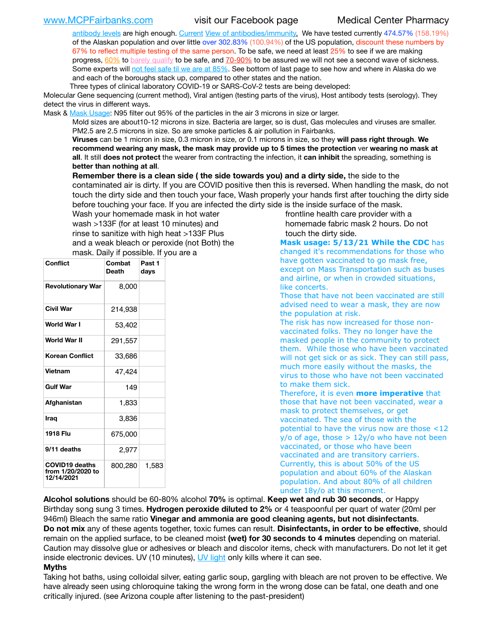[antibody levels](https://www.cdc.gov/coronavirus/2019-ncov/lab/resources/antibody-tests.html) are high enough. [Current](https://l.facebook.com/l.php?u=https://www.itv.com/news/2020-10-26/covid-19-antibody-levels-reduce-over-time-study-finds?fbclid=IwAR3Dapzh1qIH1EIOdUQI2y8THf7jfA4KBCaJz8Qg-8xe1YsrR4nsAHDIXSY&h=AT30nut8pkqp0heVuz5W2rT2WFFm-2Ab52BsJxZZCNlGsX58IpPkuVEPULbIUV_M16MAukx1Kwb657DPXxsgDN1rpOQ4gqBtQsmVYiWpnHPJo2RQsU6CPMd14lgLnQnFWxfVi6zvmw&__tn__=-UK-R&c%5B0%5D=AT1GaRAfR_nGAyqcn7TI1-PpvqOqEKXHnz6TDWvRStMnOSH7boQDvTiwTOc6VId9UES6LKiOmm2m88wKCoolkJyOFvakt2Z1Mw8toYWGGoWW23r0MNVBl7cYJXB_UOvGklNHaNnaNr1_S7NhT3BSykNOBg) [View of antibodies/immunity](https://www.livescience.com/antibodies.html)[.](https://www.itv.com/news/2020-10-26/covid-19-antibody-levels-reduce-over-time-study-finds) We have tested currently 474.57% (158.19%) of the Alaskan population and over little over 302.83% (100.94%) of the US population, discount these numbers by 67% to reflect multiple testing of the same person. To be safe, we need at least 25% to see if we are making progress, [60%](https://www.jhsph.edu/covid-19/articles/achieving-herd-immunity-with-covid19.html) to [barely qualify](https://www.nature.com/articles/d41586-020-02948-4) to be safe, and [70-90%](https://www.mayoclinic.org/herd-immunity-and-coronavirus/art-20486808) to be assured we will not see a second wave of sickness. Some experts will [not feel safe til we are at 85%](https://www.bannerhealth.com/healthcareblog/teach-me/what-is-herd-immunity). See bottom of last page to see how and where in Alaska do we and each of the boroughs stack up, compared to other states and the nation.

Three types of clinical laboratory COVID-19 or SARS-CoV-2 tests are being developed:

Molecular Gene sequencing (current method), Viral antigen (testing parts of the virus), Host antibody tests (serology). They detect the virus in different ways.

Mask & [Mask Usage:](https://www.nationalgeographic.com/history/2020/03/how-cities-flattened-curve-1918-spanish-flu-pandemic-coronavirus/) N95 filter out 95% of the particles in the air 3 microns in size or larger.

Mold sizes are about10-12 microns in size. Bacteria are larger, so is dust, Gas molecules and viruses are smaller. PM2.5 are 2.5 microns in size. So are smoke particles & air pollution in Fairbanks.

**Viruses** can be 1 micron in size, 0.3 micron in size, or 0.1 microns in size, so they **will pass right through**. **We recommend wearing any mask, the mask may provide up to 5 times the protection** ver **wearing no mask at all**. It still **does not protect** the wearer from contracting the infection, it **can inhibit** the spreading, something is **better than nothing at all**.

**Remember there is a clean side ( the side towards you) and a dirty side,** the side to the contaminated air is dirty. If you are COVID positive then this is reversed. When handling the mask, do not touch the dirty side and then touch your face, Wash properly your hands first after touching the dirty side before touching your face. If you are infected the dirty side is the inside surface of the mask.

Wash your homemade mask in hot water wash >133F (for at least 10 minutes) and rinse to sanitize with high heat >133F Plus and a weak bleach or peroxide (not Both) the mask. Daily if possible. If you are a

| Conflict                                                 | Combat<br><b>Death</b> | Past 1<br>days |
|----------------------------------------------------------|------------------------|----------------|
| <b>Revolutionary War</b>                                 | 8,000                  |                |
| <b>Civil War</b>                                         | 214,938                |                |
| World War I                                              | 53,402                 |                |
| <b>World War II</b>                                      | 291,557                |                |
| <b>Korean Conflict</b>                                   | 33,686                 |                |
| <b>Vietnam</b>                                           | 47,424                 |                |
| <b>Gulf War</b>                                          | 149                    |                |
| Afahanistan                                              | 1,833                  |                |
| Iraq                                                     | 3,836                  |                |
| 1918 Flu                                                 | 675,000                |                |
| 9/11 deaths                                              | 2,977                  |                |
| <b>COVID19 deaths</b><br>from 1/20/2020 to<br>12/14/2021 | 800,280                | 1,583          |

frontline health care provider with a homemade fabric mask 2 hours. Do not touch the dirty side.

**Mask usage: 5/13/21 While the CDC** has changed it's recommendations for those who have gotten vaccinated to go mask free, except on Mass Transportation such as buses and airline, or when in crowded situations, like concerts.

Those that have not been vaccinated are still advised need to wear a mask, they are now the population at risk.

The risk has now increased for those nonvaccinated folks. They no longer have the masked people in the community to protect them. While those who have been vaccinated will not get sick or as sick. They can still pass, much more easily without the masks, the virus to those who have not been vaccinated to make them sick.

Therefore, it is even **more imperative** that those that have not been vaccinated, wear a mask to protect themselves, or get vaccinated. The sea of those with the potential to have the virus now are those <12  $y$ /o of age, those  $> 12y$ /o who have not been vaccinated, or those who have been vaccinated and are transitory carriers. Currently, this is about 50% of the US population and about 60% of the Alaskan population. And about 80% of all children under 18y/o at this moment.

**Alcohol solutions** should be 60-80% alcohol **70%** is optimal. **Keep wet and rub 30 seconds**, or Happy Birthday song sung 3 times. **Hydrogen peroxide diluted to 2%** or 4 teaspoonful per quart of water (20ml per 946ml) Bleach the same ratio **Vinegar and ammonia are good cleaning agents, but not disinfectants**. **Do not mix** any of these agents together, toxic fumes can result. **Disinfectants, in order to be effective**, should remain on the applied surface, to be cleaned moist **(wet) for 30 seconds to 4 minutes** depending on material. Caution may dissolve glue or adhesives or bleach and discolor items, check with manufacturers. Do not let it get inside electronic devices. UV (10 minutes), [UV light](http://www.docreviews.me/best-uv-boxes-2020/?fbclid=IwAR3bvFtXB48OoBBSvYvTEnKuHNPbipxM6jUo82QUSw9wckxjC7wwRZWabGw) only kills where it can see.

### **Myths**

Taking hot baths, using colloidal silver, eating garlic soup, gargling with bleach are not proven to be effective. We have already seen using chloroquine taking the wrong form in the wrong dose can be fatal, one death and one critically injured. (see Arizona couple after listening to the past-president)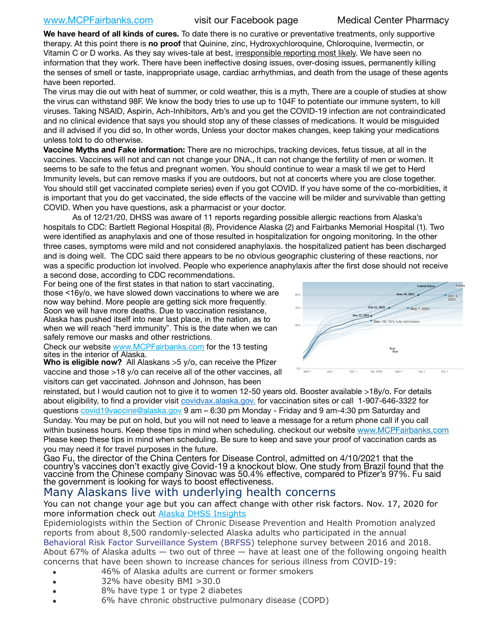## [www.MCPFairbanks.com](http://www.MCPFairbanks.com) visit our Facebook page Medical Center Pharmacy

**We have heard of all kinds of cures.** To date there is no curative or preventative treatments, only supportive therapy. At this point there is **no proof** that Quinine, zinc, Hydroxychloroquine, Chloroquine, Ivermectin, or Vitamin C or D works. As they say wives-tale at best, irresponsible reporting most likely. We have seen no information that they work. There have been ineffective dosing issues, over-dosing issues, permanently killing the senses of smell or taste, inappropriate usage, cardiac arrhythmias, and death from the usage of these agents have been reported.

The virus may die out with heat of summer, or cold weather, this is a myth, There are a couple of studies at show the virus can withstand 98F. We know the body tries to use up to 104F to potentiate our immune system, to kill viruses. Taking NSAID, Aspirin, Ach-Inhibitors, Arb's and you get the COVID-19 infection are not contraindicated and no clinical evidence that says you should stop any of these classes of medications. It would be misguided and ill advised if you did so, In other words, Unless your doctor makes changes, keep taking your medications unless told to do otherwise.

**Vaccine Myths and Fake information:** There are no microchips, tracking devices, fetus tissue, at all in the vaccines. Vaccines will not and can not change your DNA., It can not change the fertility of men or women. It seems to be safe to the fetus and pregnant women. You should continue to wear a mask til we get to Herd Immunity levels, but can remove masks if you are outdoors, but not at concerts where you are close together. You should still get vaccinated complete series) even if you got COVID. If you have some of the co-morbidities, it is important that you do get vaccinated, the side effects of the vaccine will be milder and survivable than getting COVID. When you have questions, ask a pharmacist or your doctor.

As of 12/21/20, DHSS was aware of 11 reports regarding possible allergic reactions from Alaska's hospitals to CDC: Bartlett Regional Hospital (8), Providence Alaska (2) and Fairbanks Memorial Hospital (1). Two were identified as anaphylaxis and one of those resulted in hospitalization for ongoing monitoring. In the other three cases, symptoms were mild and not considered anaphylaxis. the hospitalized patient has been discharged three cases, symptoms were mild and not considered anaphylaxis. the hospitalized patient has been discharged and is doing well. The CDC said there appears to be no obvious geographic clustering of these reactions, nor *Projections are based on each state's current rate of vaccination.* was a specific production lot involved. People who experience anaphylaxis after the first dose should not receive a second dose, according to CDC recommendations.

For being one of the first states in that nation to start vaccinating, those <16y/o, we have slowed down vaccinations to where we are now way behind. More people are getting sick more frequently. Soon we will have more deaths. Due to vaccination resistance, Alaska has pushed itself into near last place, in the nation, as to when we will reach "herd immunity". This is the date when we can safely remove our masks and other restrictions.

Check our website [www.MCPFairbanks.com](http://www.MCPFairbanks.com) for the 13 testing sites in the interior of Alaska.

**Who is eligible now?** All Alaskans >5 y/o, can receive the Pfizer vaccine and those >18 y/o can receive all of the other vaccines, all visitors can get vaccinated. Johnson and Johnson, has been

reinstated, but I would caution not to give it to women 12-50 years old. Booster available >18y/o. For details about eligibility, to find a provider visit [covidvax.alaska.gov.](https://lnks.gd/l/eyJhbGciOiJIUzI1NiJ9.eyJidWxsZXRpbl9saW5rX2lkIjoxMDYsInVyaSI6ImJwMjpjbGljayIsImJ1bGxldGluX2lkIjoiMjAyMTAxMjguMzQwODU3NjEiLCJ1cmwiOiJodHRwOi8vZGhzcy5hbGFza2EuZ292L2RwaC9FcGkvaWQvUGFnZXMvQ09WSUQtMTkvdmFjY2luZS5hc3B4In0.-Xwhl42jAWOMS7ewfS85uxwrwjohCso3Sb81DuDKtxU/s/500544915/br/93796640171-l) for vaccination sites or call 1-907-646-3322 for questions [covid19vaccine@alaska.gov](mailto:covid19vaccine@alaska.gov?subject=COVID19%20Vaccine%20questions) 9 am – 6:30 pm Monday - Friday and 9 am-4:30 pm Saturday and Sunday. You may be put on hold, but you will not need to leave a message for a return phone call if you call within business hours. Keep these tips in mind when scheduling. checkout our website [www.MCPFairbanks.com](http://www.MCPFairbanks.com) Please keep these tips in mind when scheduling. Be sure to keep and save your proof of vaccination cards as you may need it for travel purposes in the future.

Gao Fu, the director of the China Centers for Disease Control, admitted on 4/10/2021 that the country's vaccines don't exactly give Covid-19 a knockout blow. One study from Brazil found that the vaccine from the Chinese company Sinovac was 50.4% effective, compared to Pfizer's 97%. Fu said the government is looking for ways to boost effectiveness.

# Many Alaskans live with underlying health concerns

You can not change your age but you can affect change with other risk factors. Nov. 17, 2020 for more information check out [Alaska DHSS Insights](http://dhss.alaska.gov/dph/Epi/id/Pages/COVID-19/blog/20201117.aspx)

Epidemiologists within the Section of Chronic Disease Prevention and Health Promotion analyzed reports from about 8,500 randomly-selected Alaska adults who participated in the annual [Behavioral Risk Factor Surveillance System \(BRFSS\)](http://dhss.alaska.gov/dph/Chronic/Pages/brfss/default.aspx) telephone survey between 2016 and 2018. About 67% of Alaska adults — two out of three — have at least one of the following ongoing health concerns that have been shown to increase chances for serious illness from COVID-19:

- 46% of Alaska adults are current or former smokers
- 32% have obesity BMI >30.0
- 8% have type 1 or type 2 diabetes
- 6% have chronic obstructive pulmonary disease (COPD)